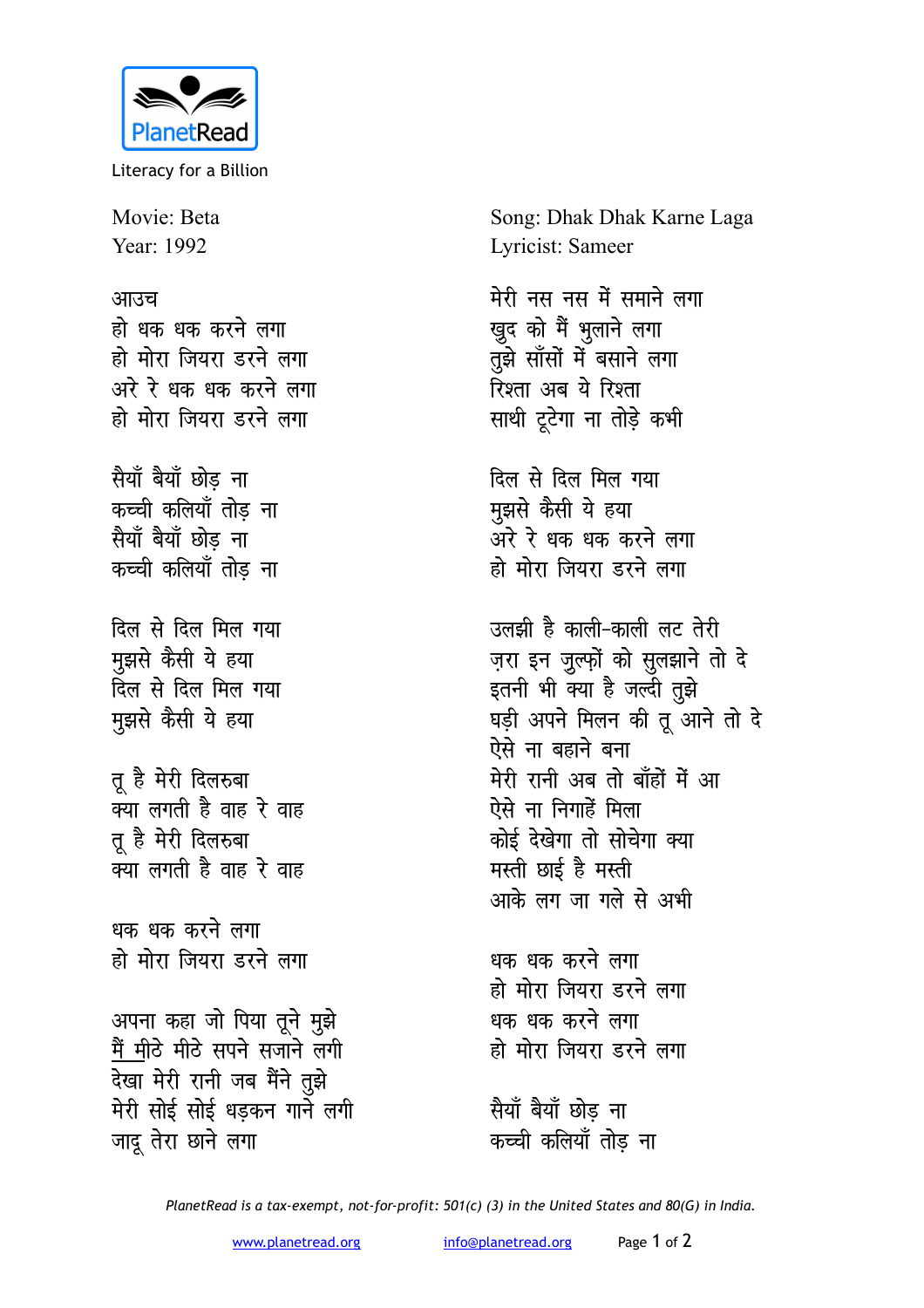

Literacy for a Billion

Movie: Beta Year: 1992

## आउच

हो धक धक करने लगा हो मोरा जियरा डरने लगा अरे रे धक धक करने लगा हो मोरा जियरा डरने लगा

सैयाँ बैयाँ छोड ना कच्ची कलियाँ तोड़ ना सैयाँ बैयाँ छोड ना कच्ची कलियाँ तोड ना

दिल से दिल मिल गया मुझसे कैसी ये हया दिल से दिल मिल गया मुझसे कैसी ये हया

तू है मेरी दिलरुबा क्या लगती है वाह रे वाह तू है मेरी दिलरुबा क्या लगती है वाह रे वाह

धक धक करने लगा हो मोरा जियरा डरने लगा

अपना कहा जो पिया तूने मुझे मैं मीठे मीठे सपने सजाने लगी देखा मेरी रानी जब मैंने तुझे मेरी सोई सोई धड़कन गाने लगी जादू तेरा छाने लगा

Song: Dhak Dhak Karne Laga Lyricist: Sameer

मेरी नस नस में समाने लगा खुद को मैं भुलाने लगा तुझे सॉंसों में बसाने लगा रिश्ता अब ये रिश्ता साथी टूटेगा ना तोड़े कभी

दिल से दिल मिल गया मुझसे कैसी ये हया ्<br>अरे रे धक धक करने लगा हो मोरा जियरा डरने लगा

उलझी है काली-काली लट तेरी ज़रा इन ज़ुल्फ़ों को सुलझाने तो दे इतनी भी क्या है जल्दी तुझे घड़ी अपने मिलन की तू आने तो दे ऐसे ना बहाने बना मेरी रानी अब तो बाँहों में आ ऐसे ना निगाहें मिला कोई देखेगा तो सोचेगा क्या मस्ती छाई है मस्ती आके लग जा गले से अभी

धक धक करने लगा हो मोरा जियरा डरने लगा धक धक करने लगा हो मोरा जियरा डरने लगा

सैयाँ बैयाँ छोड ना कच्ची कलियाँ तोड ना

PlanetRead is a tax-exempt, not-for-profit: 501(c) (3) in the United States and 80(G) in India.